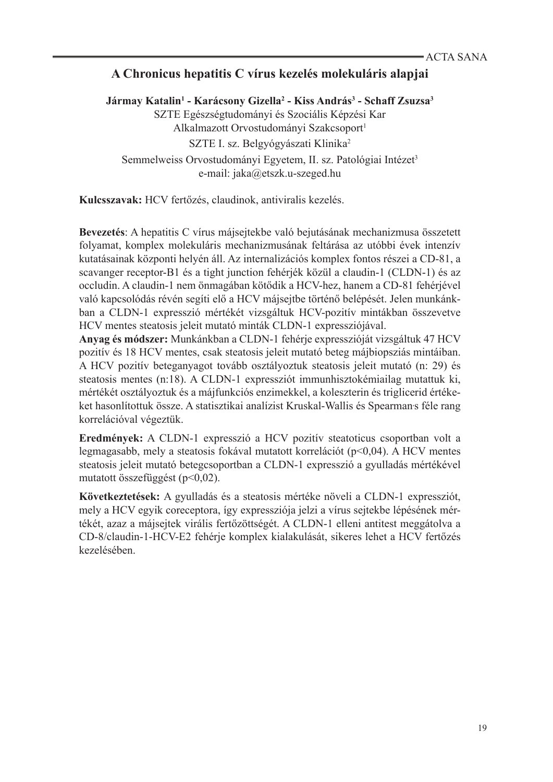## **A Chronicus hepatitis C vírus kezelés molekuláris alapjai**

**Jármay Katalin1 - Karácsony Gizella2 - Kiss András<sup>3</sup> - Schaff Zsuzsa<sup>3</sup>** SZTE Egészségtudományi és Szociális Képzési Kar Alkalmazott Orvostudományi Szakcsoport<sup>1</sup> SZTE I. sz. Belgyógyászati Klinika2 Semmelweiss Orvostudományi Egyetem, II. sz. Patológiai Intézet<sup>3</sup> e-mail: jaka@etszk.u-szeged.hu

**Kulcsszavak:** HCV fertőzés, claudinok, antiviralis kezelés.

**Bevezetés**: A hepatitis C vírus májsejtekbe való bejutásának mechanizmusa összetett folyamat, komplex molekuláris mechanizmusának feltárása az utóbbi évek intenzív kutatásainak központi helyén áll. Az internalizációs komplex fontos részei a CD-81, a scavanger receptor-B1 és a tight junction fehérjék közül a claudin-1 (CLDN-1) és az occludin. A claudin-1 nem önmagában kötődik a HCV-hez, hanem a CD-81 fehérjével való kapcsolódás révén segíti elő a HCV májsejtbe történő belépését. Jelen munkánkban a CLDN-1 expresszió mértékét vizsgáltuk HCV-pozitív mintákban összevetve HCV mentes steatosis jeleit mutató minták CLDN-1 expressziójával.

**Anyag és módszer:** Munkánkban a CLDN-1 fehérje expresszióját vizsgáltuk 47 HCV pozitív és 18 HCV mentes, csak steatosis jeleit mutató beteg májbiopsziás mintáiban. A HCV pozitív beteganyagot tovább osztályoztuk steatosis jeleit mutató (n: 29) és steatosis mentes (n:18). A CLDN-1 expressziót immunhisztokémiailag mutattuk ki, mértékét osztályoztuk és a májfunkciós enzimekkel, a koleszterin és triglicerid értékeket hasonlítottuk össze. A statisztikai analízist Kruskal-Wallis és Spearman s féle rang korrelációval végeztük.

**Eredmények:** A CLDN-1 expresszió a HCV pozitív steatoticus csoportban volt a legmagasabb, mely a steatosis fokával mutatott korrelációt (p<0,04). A HCV mentes steatosis jeleit mutató betegcsoportban a CLDN-1 expresszió a gyulladás mértékével mutatott összefüggést (p<0,02).

**Következtetések:** A gyulladás és a steatosis mértéke növeli a CLDN-1 expressziót, mely a HCV egyik coreceptora, így expressziója jelzi a vírus sejtekbe lépésének mértékét, azaz a májsejtek virális fertőzöttségét. A CLDN-1 elleni antitest meggátolva a CD-8/claudin-1-HCV-E2 fehérje komplex kialakulását, sikeres lehet a HCV fertőzés kezelésében.